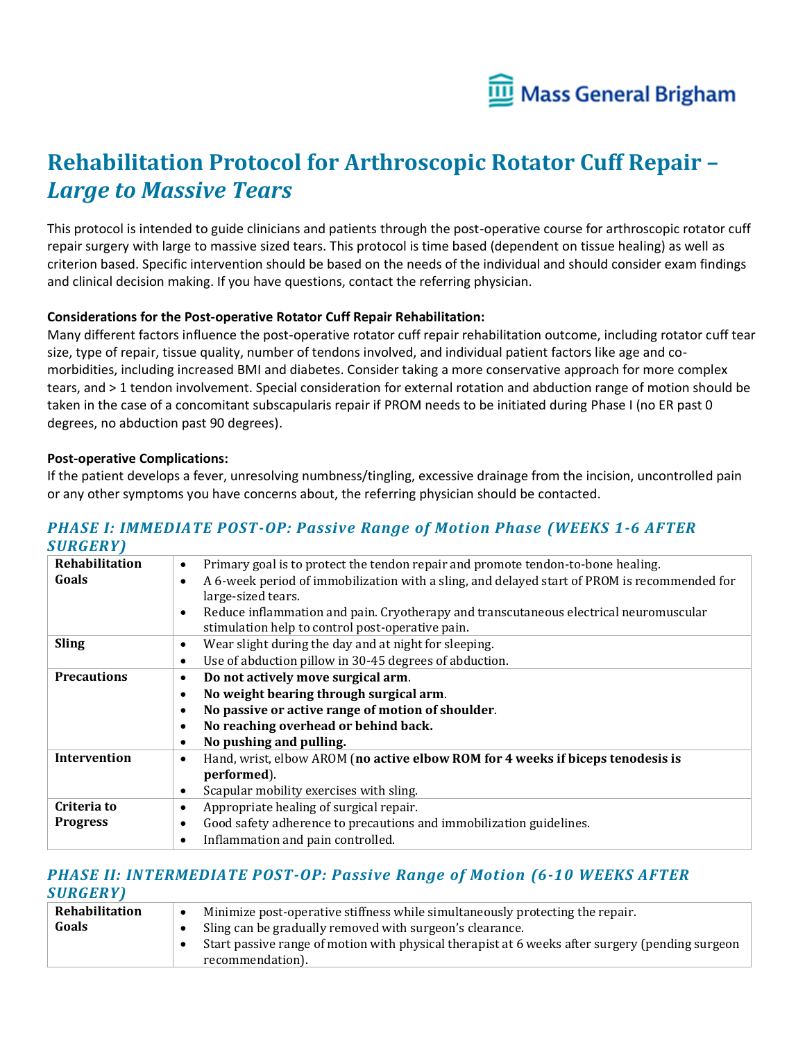

# **Rehabilitation Protocol for Arthroscopic Rotator Cuff Repair –** *Large to Massive Tears*

This protocol is intended to guide clinicians and patients through the post-operative course for arthroscopic rotator cuff repair surgery with large to massive sized tears. This protocol is time based (dependent on tissue healing) as well as criterion based. Specific intervention should be based on the needs of the individual and should consider exam findings and clinical decision making. If you have questions, contact the referring physician.

#### **Considerations for the Post-operative Rotator Cuff Repair Rehabilitation:**

Many different factors influence the post-operative rotator cuff repair rehabilitation outcome, including rotator cuff tear size, type of repair, tissue quality, number of tendons involved, and individual patient factors like age and comorbidities, including increased BMI and diabetes. Consider taking a more conservative approach for more complex tears, and > 1 tendon involvement. Special consideration for external rotation and abduction range of motion should be taken in the case of a concomitant subscapularis repair if PROM needs to be initiated during Phase I (no ER past 0 degrees, no abduction past 90 degrees).

#### **Post-operative Complications:**

If the patient develops a fever, unresolving numbness/tingling, excessive drainage from the incision, uncontrolled pain or any other symptoms you have concerns about, the referring physician should be contacted.

### *PHASE I: IMMEDIATE POST-OP: Passive Range of Motion Phase (WEEKS 1-6 AFTER SURGERY)*

| Primary goal is to protect the tendon repair and promote tendon-to-bone healing.<br>$\bullet$             |
|-----------------------------------------------------------------------------------------------------------|
| A 6-week period of immobilization with a sling, and delayed start of PROM is recommended for<br>$\bullet$ |
| large-sized tears.                                                                                        |
| Reduce inflammation and pain. Cryotherapy and transcutaneous electrical neuromuscular<br>$\bullet$        |
| stimulation help to control post-operative pain.                                                          |
| Wear slight during the day and at night for sleeping.<br>$\bullet$                                        |
| Use of abduction pillow in 30-45 degrees of abduction.<br>$\bullet$                                       |
| Do not actively move surgical arm.<br>$\bullet$                                                           |
| No weight bearing through surgical arm.<br>$\bullet$                                                      |
| No passive or active range of motion of shoulder.<br>$\bullet$                                            |
| No reaching overhead or behind back.<br>$\bullet$                                                         |
| No pushing and pulling.<br>$\bullet$                                                                      |
| Hand, wrist, elbow AROM (no active elbow ROM for 4 weeks if biceps tenodesis is<br>$\bullet$              |
| performed).                                                                                               |
| Scapular mobility exercises with sling.<br>$\bullet$                                                      |
| Appropriate healing of surgical repair.<br>$\bullet$                                                      |
| Good safety adherence to precautions and immobilization guidelines.<br>٠                                  |
| Inflammation and pain controlled.<br>$\bullet$                                                            |
|                                                                                                           |

### *PHASE II: INTERMEDIATE POST-OP: Passive Range of Motion (6-10 WEEKS AFTER SURGERY)*

| Rehabilitation | Minimize post-operative stiffness while simultaneously protecting the repair.                   |
|----------------|-------------------------------------------------------------------------------------------------|
| Goals          | Sling can be gradually removed with surgeon's clearance.                                        |
|                | Start passive range of motion with physical therapist at 6 weeks after surgery (pending surgeon |
|                | recommendation).                                                                                |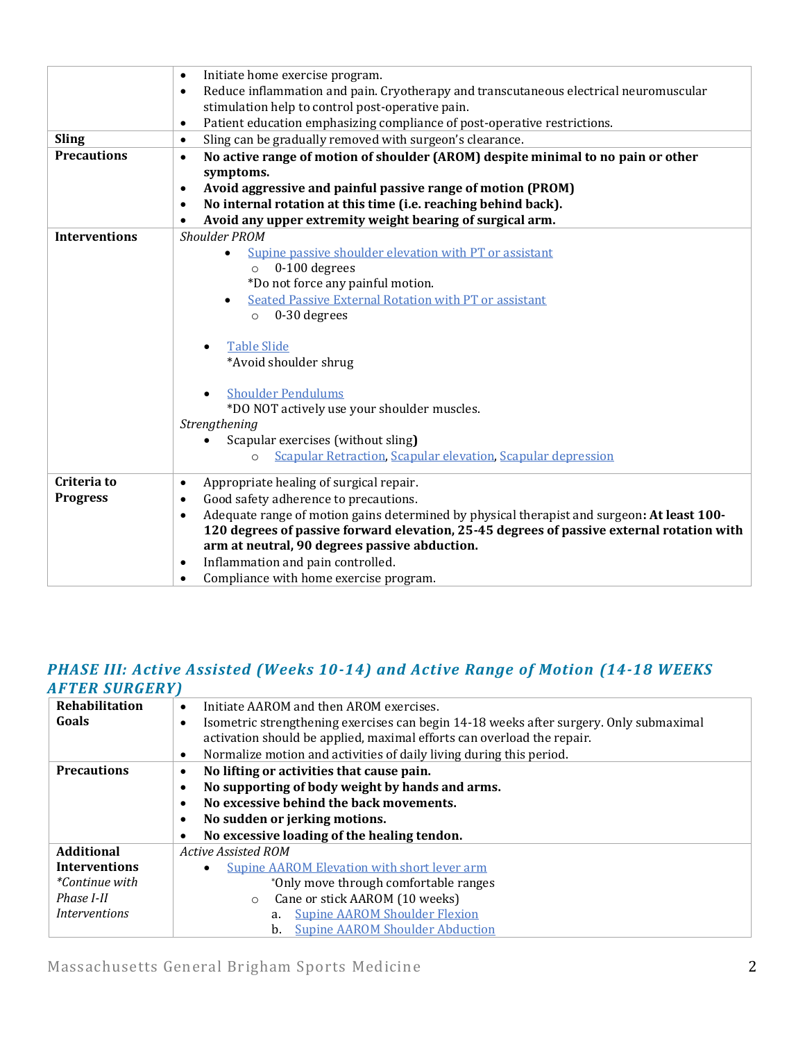|                      | Initiate home exercise program.<br>$\bullet$                                                            |
|----------------------|---------------------------------------------------------------------------------------------------------|
|                      | Reduce inflammation and pain. Cryotherapy and transcutaneous electrical neuromuscular<br>$\bullet$      |
|                      | stimulation help to control post-operative pain.                                                        |
|                      | Patient education emphasizing compliance of post-operative restrictions.<br>$\bullet$                   |
| <b>Sling</b>         | Sling can be gradually removed with surgeon's clearance.<br>$\bullet$                                   |
| <b>Precautions</b>   | No active range of motion of shoulder (AROM) despite minimal to no pain or other<br>$\bullet$           |
|                      | symptoms.                                                                                               |
|                      | Avoid aggressive and painful passive range of motion (PROM)<br>$\bullet$                                |
|                      | No internal rotation at this time (i.e. reaching behind back).<br>$\bullet$                             |
|                      | Avoid any upper extremity weight bearing of surgical arm.<br>$\bullet$                                  |
| <b>Interventions</b> | <b>Shoulder PROM</b>                                                                                    |
|                      | Supine passive shoulder elevation with PT or assistant<br>$\bullet$                                     |
|                      | $0-100$ degrees<br>$\circ$                                                                              |
|                      | *Do not force any painful motion.                                                                       |
|                      | <b>Seated Passive External Rotation with PT or assistant</b>                                            |
|                      | 0-30 degrees<br>$\circ$                                                                                 |
|                      |                                                                                                         |
|                      | <b>Table Slide</b>                                                                                      |
|                      | *Avoid shoulder shrug                                                                                   |
|                      |                                                                                                         |
|                      | <b>Shoulder Pendulums</b>                                                                               |
|                      | *DO NOT actively use your shoulder muscles.                                                             |
|                      | Strengthening                                                                                           |
|                      | Scapular exercises (without sling)                                                                      |
|                      | <b>Scapular Retraction, Scapular elevation, Scapular depression</b><br>$\circ$                          |
| Criteria to          |                                                                                                         |
| <b>Progress</b>      | Appropriate healing of surgical repair.<br>$\bullet$<br>Good safety adherence to precautions.           |
|                      | $\bullet$                                                                                               |
|                      | Adequate range of motion gains determined by physical therapist and surgeon: At least 100-<br>$\bullet$ |
|                      | 120 degrees of passive forward elevation, 25-45 degrees of passive external rotation with               |
|                      | arm at neutral, 90 degrees passive abduction.                                                           |
|                      | Inflammation and pain controlled.<br>$\bullet$                                                          |
|                      | Compliance with home exercise program.<br>$\bullet$                                                     |

### *PHASE III: Active Assisted (Weeks 10-14) and Active Range of Motion (14-18 WEEKS AFTER SURGERY)*

| 711 1 DR 50RGDR1      |                                                                                                     |
|-----------------------|-----------------------------------------------------------------------------------------------------|
| Rehabilitation        | Initiate AAROM and then AROM exercises.<br>$\bullet$                                                |
| Goals                 | Isometric strengthening exercises can begin 14-18 weeks after surgery. Only submaximal<br>$\bullet$ |
|                       | activation should be applied, maximal efforts can overload the repair.                              |
|                       | Normalize motion and activities of daily living during this period.<br>$\bullet$                    |
| <b>Precautions</b>    | No lifting or activities that cause pain.<br>$\bullet$                                              |
|                       | No supporting of body weight by hands and arms.<br>$\bullet$                                        |
|                       | No excessive behind the back movements.<br>$\bullet$                                                |
|                       | No sudden or jerking motions.<br>$\bullet$                                                          |
|                       | No excessive loading of the healing tendon.<br>$\bullet$                                            |
| <b>Additional</b>     | <b>Active Assisted ROM</b>                                                                          |
| <b>Interventions</b>  | <b>Supine AAROM Elevation with short lever arm</b>                                                  |
| <i>*Continue with</i> | *Only move through comfortable ranges                                                               |
| Phase I-II            | Cane or stick AAROM (10 weeks)<br>$\circ$                                                           |
| <i>Interventions</i>  | <b>Supine AAROM Shoulder Flexion</b><br>a.                                                          |
|                       | <b>Supine AAROM Shoulder Abduction</b><br>b.                                                        |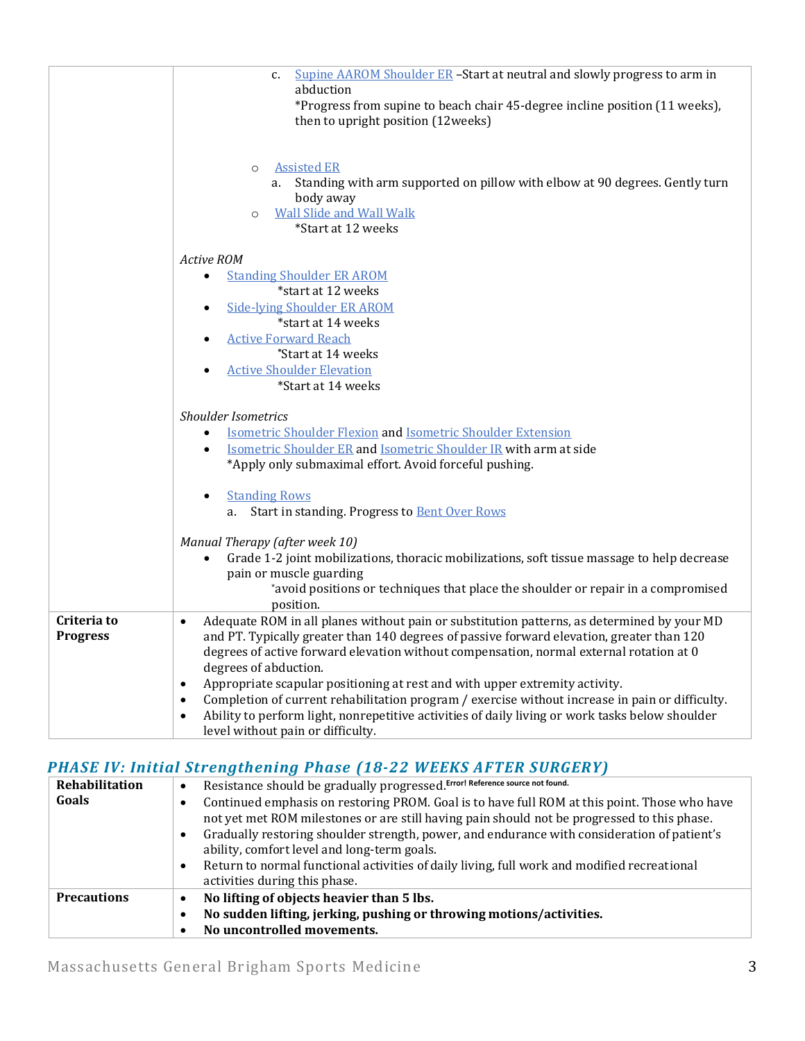|                 | Supine AAROM Shoulder ER -Start at neutral and slowly progress to arm in<br>c.<br>abduction                                                                                                         |
|-----------------|-----------------------------------------------------------------------------------------------------------------------------------------------------------------------------------------------------|
|                 | *Progress from supine to beach chair 45-degree incline position (11 weeks),<br>then to upright position (12weeks)                                                                                   |
|                 | <b>Assisted ER</b><br>$\circ$<br>Standing with arm supported on pillow with elbow at 90 degrees. Gently turn<br>a.<br>body away<br><b>Wall Slide and Wall Walk</b><br>$\circ$<br>*Start at 12 weeks |
|                 | Active ROM                                                                                                                                                                                          |
|                 | <b>Standing Shoulder ER AROM</b><br>$\bullet$                                                                                                                                                       |
|                 | *start at 12 weeks                                                                                                                                                                                  |
|                 | <b>Side-lying Shoulder ER AROM</b><br>$\bullet$                                                                                                                                                     |
|                 | *start at 14 weeks                                                                                                                                                                                  |
|                 | <b>Active Forward Reach</b><br>$\bullet$                                                                                                                                                            |
|                 | *Start at 14 weeks                                                                                                                                                                                  |
|                 | <b>Active Shoulder Elevation</b>                                                                                                                                                                    |
|                 | *Start at 14 weeks                                                                                                                                                                                  |
|                 | <b>Shoulder Isometrics</b>                                                                                                                                                                          |
|                 | <b>Isometric Shoulder Flexion and Isometric Shoulder Extension</b>                                                                                                                                  |
|                 | <b>Isometric Shoulder ER and Isometric Shoulder IR with arm at side</b><br>$\bullet$<br>*Apply only submaximal effort. Avoid forceful pushing.                                                      |
|                 |                                                                                                                                                                                                     |
|                 | <b>Standing Rows</b>                                                                                                                                                                                |
|                 | Start in standing. Progress to Bent Over Rows<br>a.                                                                                                                                                 |
|                 | Manual Therapy (after week 10)                                                                                                                                                                      |
|                 | Grade 1-2 joint mobilizations, thoracic mobilizations, soft tissue massage to help decrease<br>$\bullet$                                                                                            |
|                 | pain or muscle guarding                                                                                                                                                                             |
|                 | *avoid positions or techniques that place the shoulder or repair in a compromised<br>position.                                                                                                      |
| Criteria to     | Adequate ROM in all planes without pain or substitution patterns, as determined by your MD<br>$\bullet$                                                                                             |
| <b>Progress</b> | and PT. Typically greater than 140 degrees of passive forward elevation, greater than 120                                                                                                           |
|                 | degrees of active forward elevation without compensation, normal external rotation at 0                                                                                                             |
|                 | degrees of abduction.<br>Appropriate scapular positioning at rest and with upper extremity activity.<br>$\bullet$                                                                                   |
|                 | Completion of current rehabilitation program / exercise without increase in pain or difficulty.<br>$\bullet$                                                                                        |
|                 | Ability to perform light, nonrepetitive activities of daily living or work tasks below shoulder<br>$\bullet$                                                                                        |
|                 | level without pain or difficulty.                                                                                                                                                                   |

## *PHASE IV: Initial Strengthening Phase (18-22 WEEKS AFTER SURGERY)*

| <b>Rehabilitation</b> | Resistance should be gradually progressed. Error! Reference source not found.<br>$\bullet$                                                                                                                                                                                                                                                                                                                                                                                                               |
|-----------------------|----------------------------------------------------------------------------------------------------------------------------------------------------------------------------------------------------------------------------------------------------------------------------------------------------------------------------------------------------------------------------------------------------------------------------------------------------------------------------------------------------------|
| Goals                 | Continued emphasis on restoring PROM. Goal is to have full ROM at this point. Those who have<br>٠<br>not yet met ROM milestones or are still having pain should not be progressed to this phase.<br>Gradually restoring shoulder strength, power, and endurance with consideration of patient's<br>$\bullet$<br>ability, comfort level and long-term goals.<br>Return to normal functional activities of daily living, full work and modified recreational<br>$\bullet$<br>activities during this phase. |
| <b>Precautions</b>    | No lifting of objects heavier than 5 lbs.<br>$\bullet$<br>No sudden lifting, jerking, pushing or throwing motions/activities.<br>$\bullet$<br>No uncontrolled movements.<br>$\bullet$                                                                                                                                                                                                                                                                                                                    |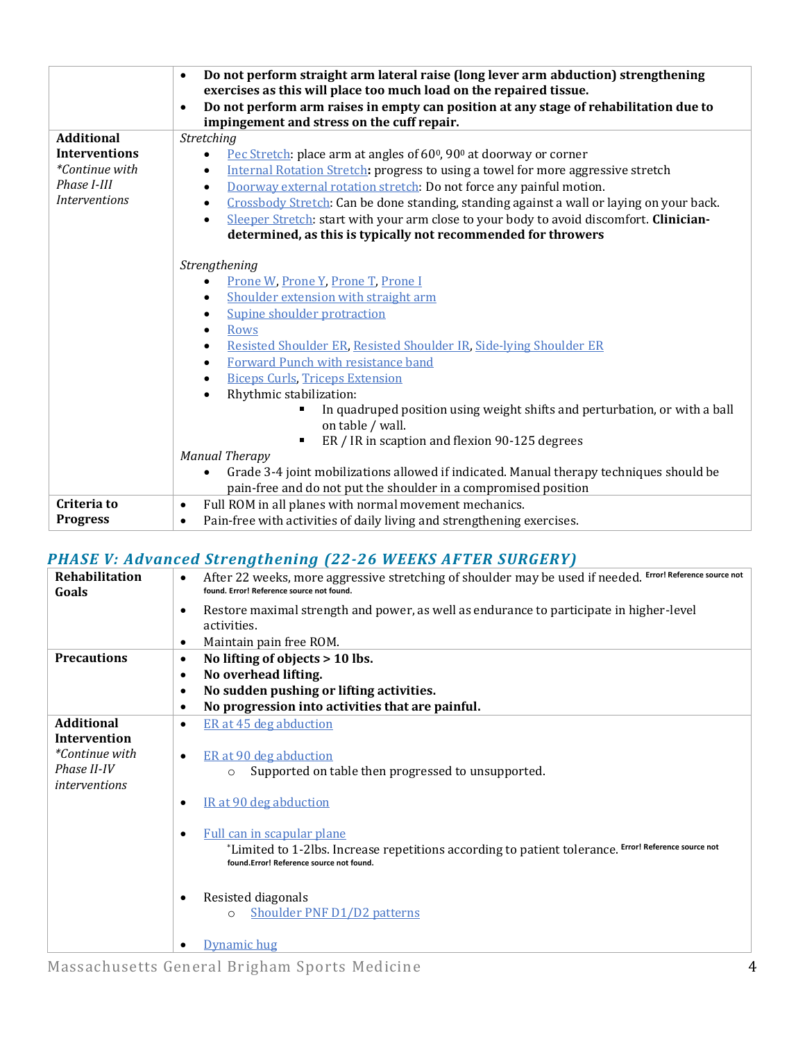|                                                                                      | Do not perform straight arm lateral raise (long lever arm abduction) strengthening<br>$\bullet$<br>exercises as this will place too much load on the repaired tissue.<br>Do not perform arm raises in empty can position at any stage of rehabilitation due to<br>$\bullet$<br>impingement and stress on the cuff repair.                                                                                                                                                                                                                                         |
|--------------------------------------------------------------------------------------|-------------------------------------------------------------------------------------------------------------------------------------------------------------------------------------------------------------------------------------------------------------------------------------------------------------------------------------------------------------------------------------------------------------------------------------------------------------------------------------------------------------------------------------------------------------------|
| <b>Additional</b>                                                                    | Stretching                                                                                                                                                                                                                                                                                                                                                                                                                                                                                                                                                        |
| <b>Interventions</b><br><i>*Continue with</i><br>Phase I-III<br><b>Interventions</b> | Pec Stretch: place arm at angles of 60 <sup>0</sup> , 90 <sup>0</sup> at doorway or corner<br>$\bullet$<br>Internal Rotation Stretch: progress to using a towel for more aggressive stretch<br>Doorway external rotation stretch: Do not force any painful motion.<br>$\bullet$<br>Crossbody Stretch: Can be done standing, standing against a wall or laying on your back.<br>$\bullet$<br>Sleeper Stretch: start with your arm close to your body to avoid discomfort. Clinician-<br>$\bullet$<br>determined, as this is typically not recommended for throwers |
|                                                                                      | Strengthening<br>Prone W, Prone Y, Prone T, Prone I<br>Shoulder extension with straight arm<br>$\bullet$<br>Supine shoulder protraction<br>٠<br>Rows<br>$\bullet$<br>Resisted Shoulder ER, Resisted Shoulder IR, Side-lying Shoulder ER<br>Forward Punch with resistance band<br>$\bullet$<br><b>Biceps Curls, Triceps Extension</b><br>٠<br>Rhythmic stabilization:<br>In quadruped position using weight shifts and perturbation, or with a ball<br>on table / wall.<br>ER / IR in scaption and flexion 90-125 degrees<br><b>Manual Therapy</b>                 |
|                                                                                      | Grade 3-4 joint mobilizations allowed if indicated. Manual therapy techniques should be<br>$\bullet$                                                                                                                                                                                                                                                                                                                                                                                                                                                              |
|                                                                                      | pain-free and do not put the shoulder in a compromised position                                                                                                                                                                                                                                                                                                                                                                                                                                                                                                   |
| Criteria to<br><b>Progress</b>                                                       | Full ROM in all planes with normal movement mechanics.<br>$\bullet$<br>Pain-free with activities of daily living and strengthening exercises.<br>$\bullet$                                                                                                                                                                                                                                                                                                                                                                                                        |

### *PHASE V: Advanced Strengthening (22-26 WEEKS AFTER SURGERY)*

| <b>Rehabilitation</b><br>Goals      | After 22 weeks, more aggressive stretching of shoulder may be used if needed. Error! Reference source not<br>$\bullet$<br>found. Error! Reference source not found.            |
|-------------------------------------|--------------------------------------------------------------------------------------------------------------------------------------------------------------------------------|
|                                     | Restore maximal strength and power, as well as endurance to participate in higher-level<br>٠                                                                                   |
|                                     | activities.                                                                                                                                                                    |
|                                     | Maintain pain free ROM.                                                                                                                                                        |
| <b>Precautions</b>                  | No lifting of objects > 10 lbs.<br>٠                                                                                                                                           |
|                                     | No overhead lifting.<br>$\bullet$                                                                                                                                              |
|                                     | No sudden pushing or lifting activities.<br>٠                                                                                                                                  |
|                                     | No progression into activities that are painful.<br>٠                                                                                                                          |
| <b>Additional</b>                   | ER at 45 deg abduction<br>٠                                                                                                                                                    |
| <b>Intervention</b>                 |                                                                                                                                                                                |
| <i>*Continue with</i>               | ER at 90 deg abduction<br>٠                                                                                                                                                    |
| Phase II-IV<br><i>interventions</i> | Supported on table then progressed to unsupported.<br>$\Omega$                                                                                                                 |
|                                     | IR at 90 deg abduction<br>٠                                                                                                                                                    |
|                                     | Full can in scapular plane<br>*Limited to 1-2lbs. Increase repetitions according to patient tolerance. Error! Reference source not<br>found.Error! Reference source not found. |
|                                     | Resisted diagonals<br>٠<br>Shoulder PNF D1/D2 patterns<br>$\circ$                                                                                                              |
|                                     | Dynamic hug                                                                                                                                                                    |

Massachusetts General Brigham Sports Medicine 4